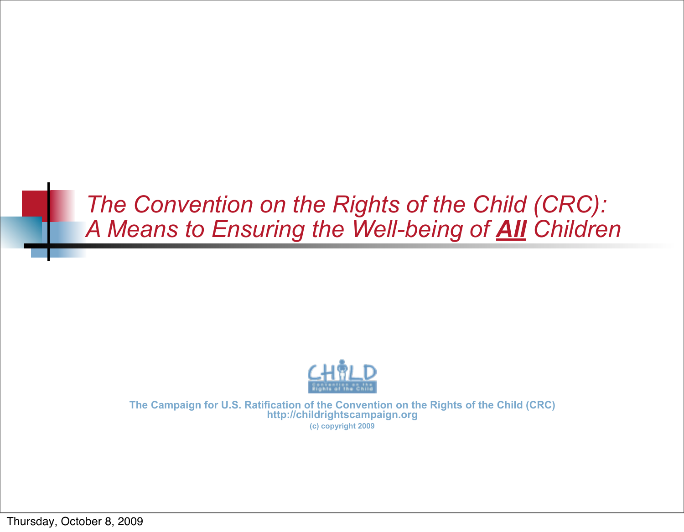## *The Convention on the Rights of the Child (CRC): A Means to Ensuring the Well-being of All Children*



**The Campaign for U.S. Ratification of the Convention on the Rights of the Child (CRC) http://childrightscampaign.org (c) copyright 2009**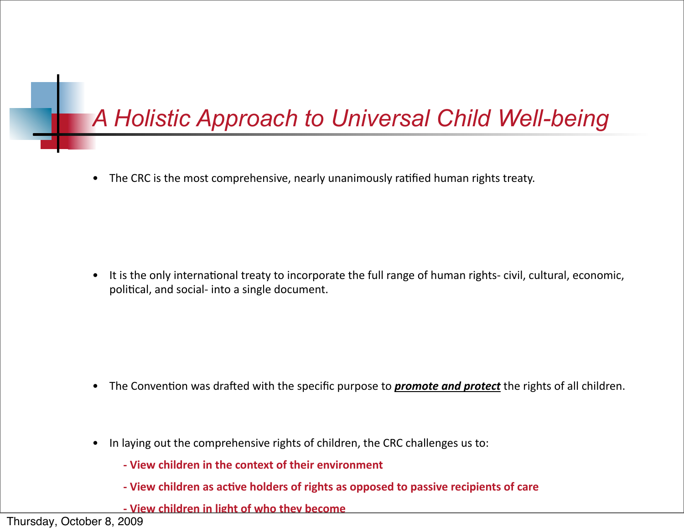# *A Holistic Approach to Universal Child Well-being*

• The CRC is the most comprehensive, nearly unanimously ratified human rights treaty.

• It is the only international treaty to incorporate the full range of human rights-civil, cultural, economic, political, and social- into a single document.

- The Convention was drafted with the specific purpose to **promote and protect** the rights of all children.
- In laying out the comprehensive rights of children, the CRC challenges us to:
	- **. View children in the context of their environment**
	- **. View children as active holders of rights as opposed to passive recipients of care**
	- **. View children in light of who they become**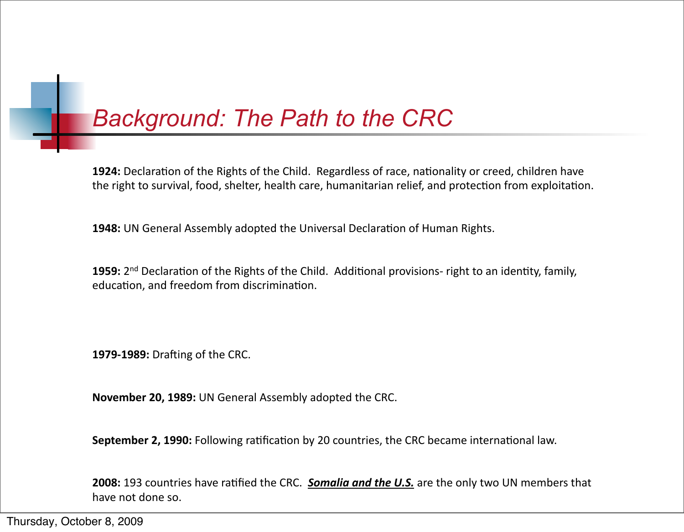## *Background: The Path to the CRC*

1924: Declaration of the Rights of the Child. Regardless of race, nationality or creed, children have the right to survival, food, shelter, health care, humanitarian relief, and protection from exploitation.

**1948:** UN General Assembly adopted the Universal Declaration of Human Rights.

**1959:** 2<sup>nd</sup> Declaration of the Rights of the Child. Additional provisions- right to an identity, family, education, and freedom from discrimination.

**1979-1989:** Drafting of the CRC.

**November 20, 1989: UN General Assembly adopted the CRC.** 

**September 2, 1990:** Following ratification by 20 countries, the CRC became international law.

**2008:** 193 countries have ratified the CRC. **Somalia and the U.S.** are the only two UN members that have not done so.

Thursday, October 8, 2009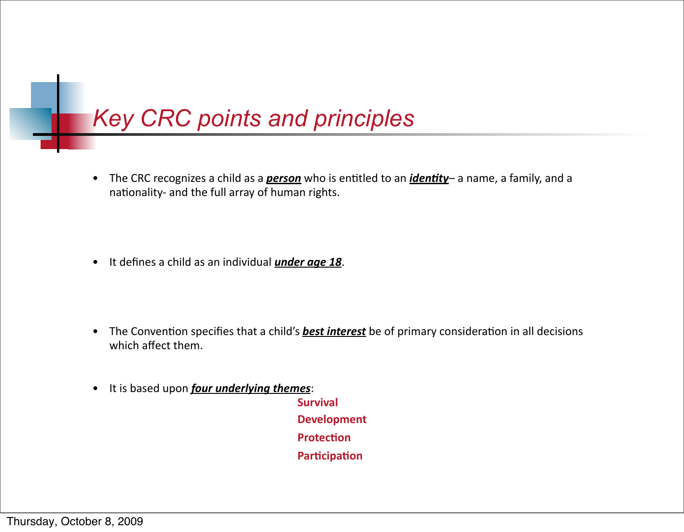

• The CRC recognizes a child as a *person* who is entitled to an *identity*– a name, a family, and a nationality- and the full array of human rights.

• It defines a child as an individual *under age 18*.

- The Convention specifies that a child's **best interest** be of primary consideration in all decisions which affect them.
- It is based upon *four underlying themes*:

**!! ! ! Survival ! ! ! ! Development ! ! ! ! Protec5on Participation**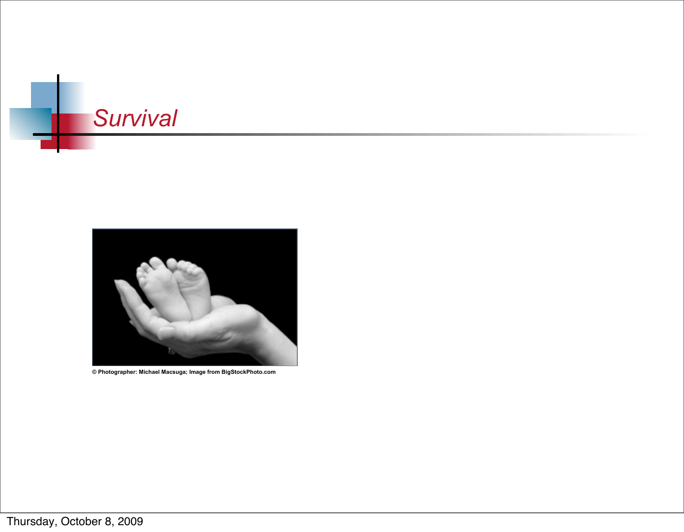



**© Photographer: Michael Macsuga; Image from BigStockPhoto.com**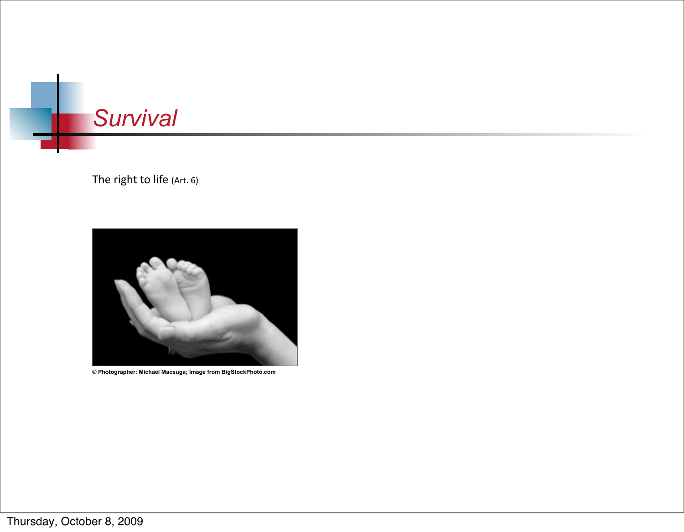



**© Photographer: Michael Macsuga; Image from BigStockPhoto.com**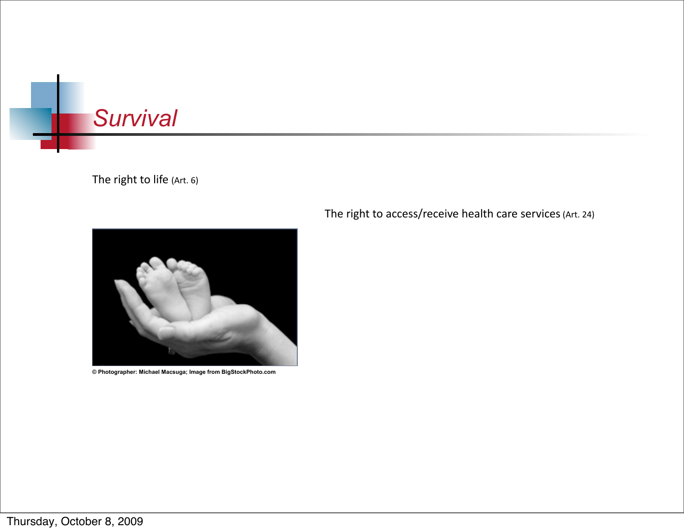



**© Photographer: Michael Macsuga; Image from BigStockPhoto.com**

The right to access/receive health care services (Art. 24)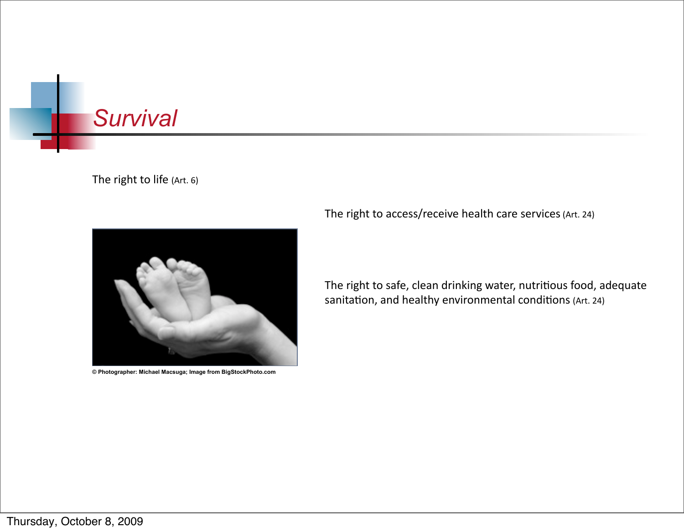



**© Photographer: Michael Macsuga; Image from BigStockPhoto.com**

The right to access/receive health care services (Art. 24)

The right to safe, clean drinking water, nutritious food, adequate sanitation, and healthy environmental conditions (Art. 24)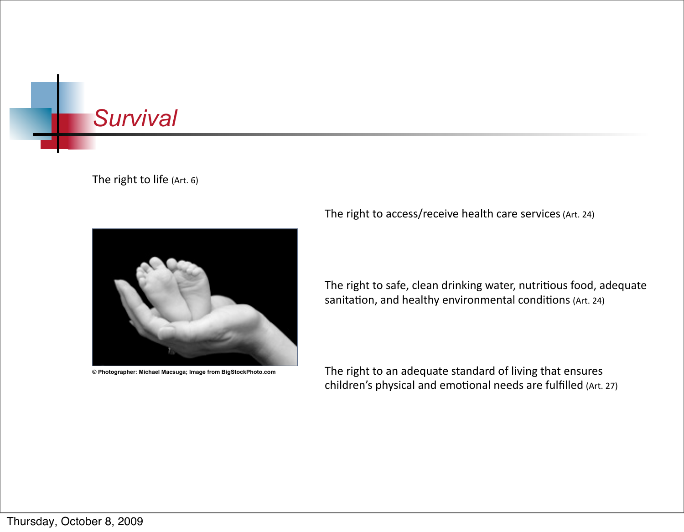



**© Photographer: Michael Macsuga; Image from BigStockPhoto.com**

The right to access/receive health care services (Art. 24)

The right to safe, clean drinking water, nutritious food, adequate sanitation, and healthy environmental conditions (Art. 24)

The right to an adequate standard of living that ensures children's physical and emotional needs are fulfilled (Art. 27)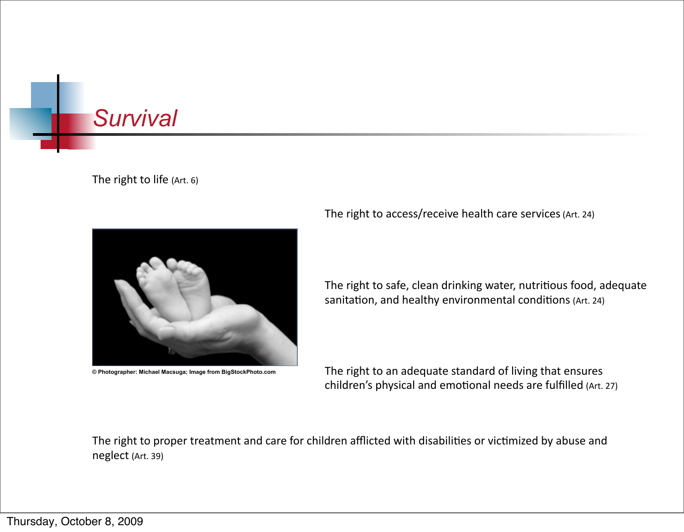



**© Photographer: Michael Macsuga; Image from BigStockPhoto.com**

The right to access/receive health care services (Art. 24)

The right to safe, clean drinking water, nutritious food, adequate sanitation, and healthy environmental conditions (Art. 24)

The right to an adequate standard of living that ensures children's physical and emotional needs are fulfilled (Art. 27)

The right to proper treatment and care for children afflicted with disabilities or victimized by abuse and neglect (Art. 39)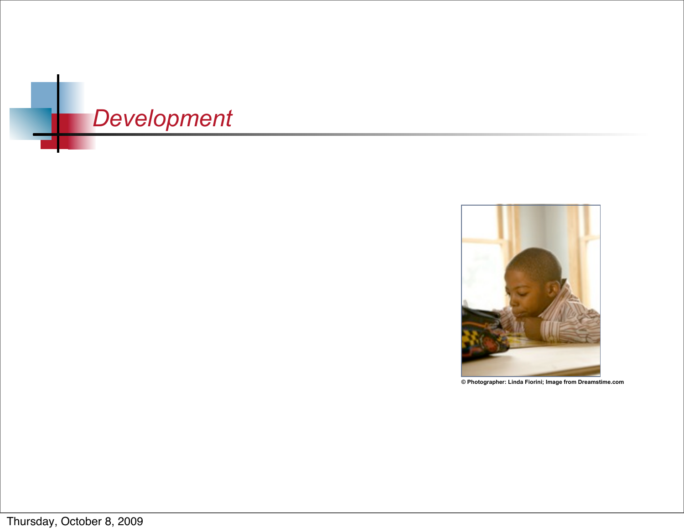



**© Photographer: Linda Fiorini; Image from Dreamstime.com**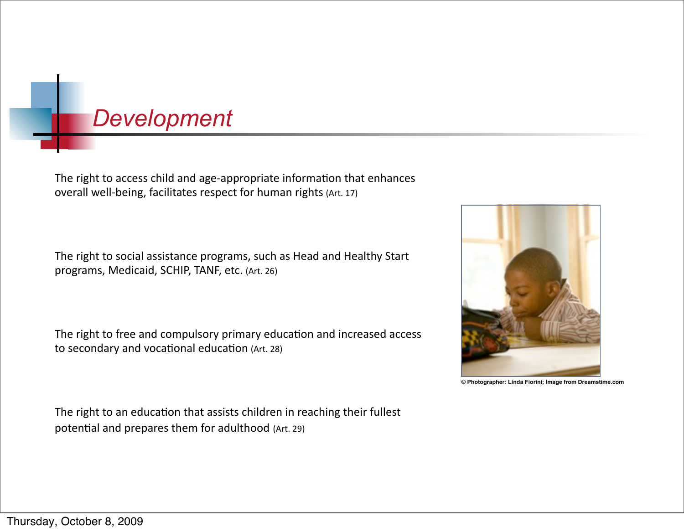## *Development*

The right to access child and age-appropriate information that enhances overall well-being, facilitates respect for human rights (Art. 17)

The right to social assistance programs, such as Head and Healthy Start programs, Medicaid, SCHIP, TANF, etc. (Art. 26)

The right to free and compulsory primary education and increased access to secondary and vocational education (Art. 28)

**© Photographer: Linda Fiorini; Image from Dreamstime.com**

The right to an education that assists children in reaching their fullest potential and prepares them for adulthood (Art. 29)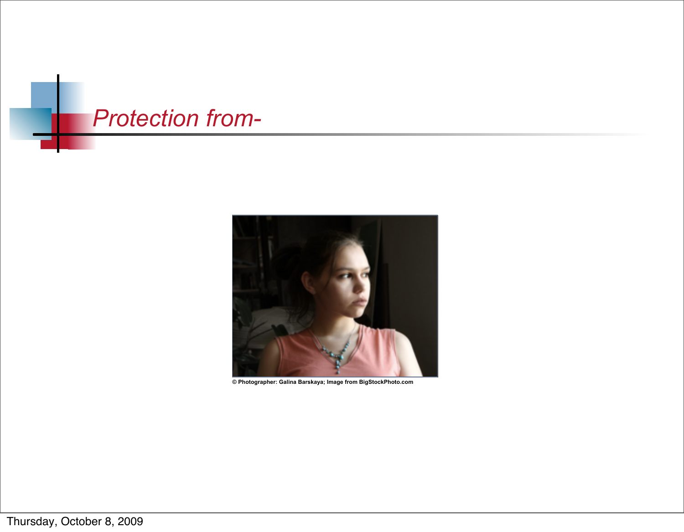



**© Photographer: Galina Barskaya; Image from BigStockPhoto.com**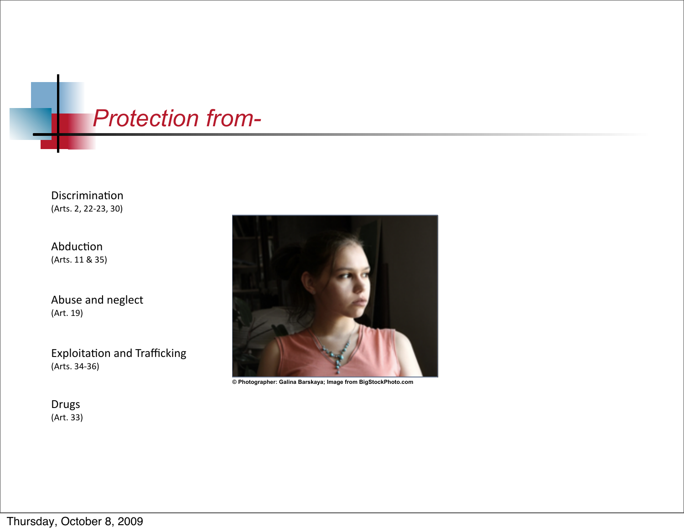## *Protection from-*

Discrimination (Arts. 2, 22-23, 30)

Abduction (Arts. 11 & 35)

Abuse and neglect (Art. 19)

Exploitation and Trafficking (Arts. 34-36)

Drugs  $(Art.33)$ 



**© Photographer: Galina Barskaya; Image from BigStockPhoto.com**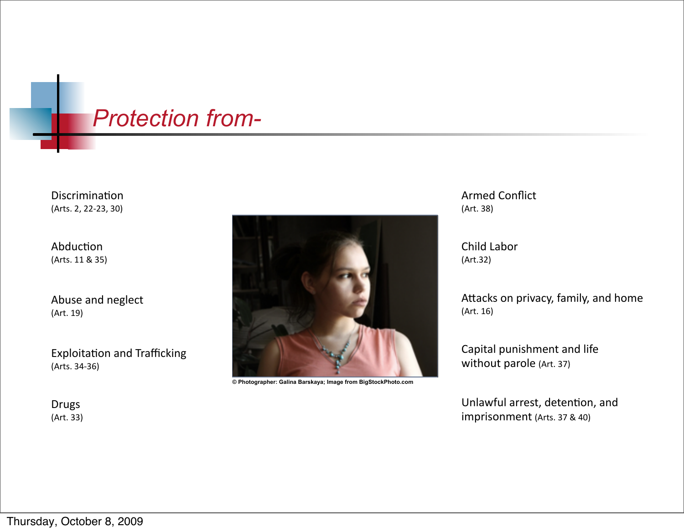## *Protection from-*

Discrimination (Arts. 2, 22-23, 30)

Abduction (Arts. 11 & 35)

Abuse and neglect (Art. 19)

Exploitation and Trafficking (Arts. 34-36)

Drugs (Art. 33)



**© Photographer: Galina Barskaya; Image from BigStockPhoto.com**

Armed Conflict (Art. 38)

Child Labor (Art.32)

Attacks on privacy, family, and home  $(Art. 16)$ 

Capital punishment and life without parole (Art. 37)

Unlawful arrest, detention, and imprisonment (Arts. 37 & 40)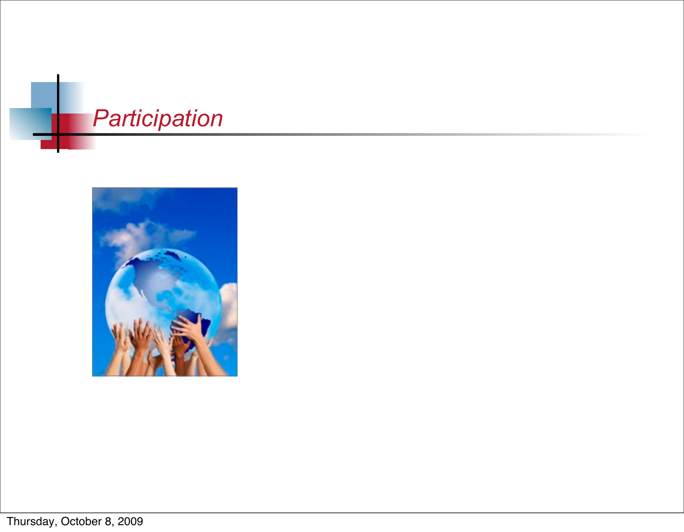

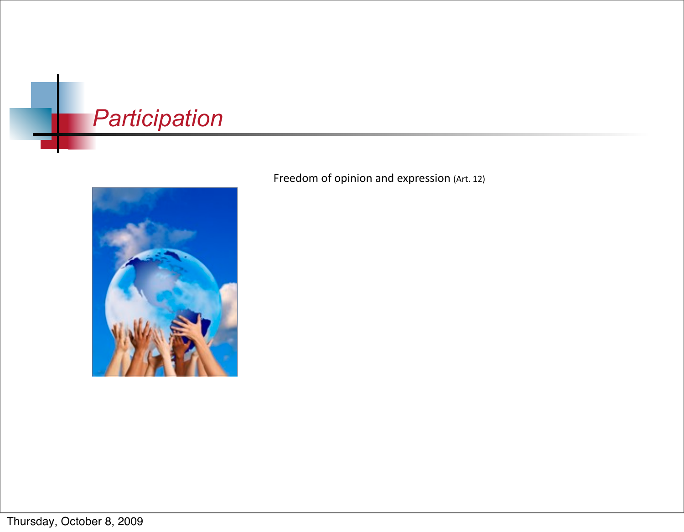

Freedom of opinion and expression (Art. 12)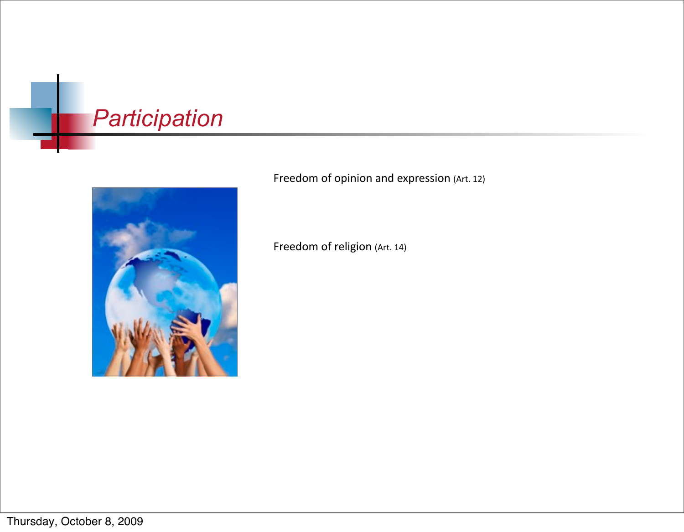

Freedom of opinion and expression (Art. 12)

Freedom of religion (Art. 14)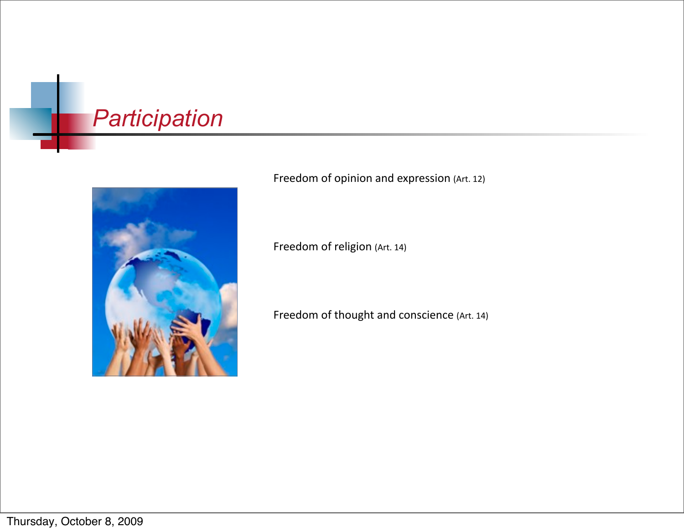

Freedom of opinion and expression (Art. 12)

Freedom of religion (Art. 14)

Freedom of thought and conscience (Art. 14)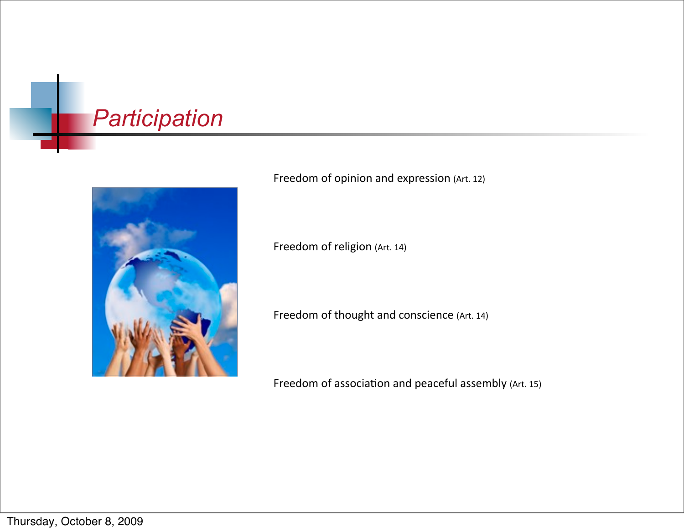

Freedom of opinion and expression (Art. 12)

Freedom of religion (Art. 14)

Freedom of thought and conscience (Art. 14)

Freedom of association and peaceful assembly (Art. 15)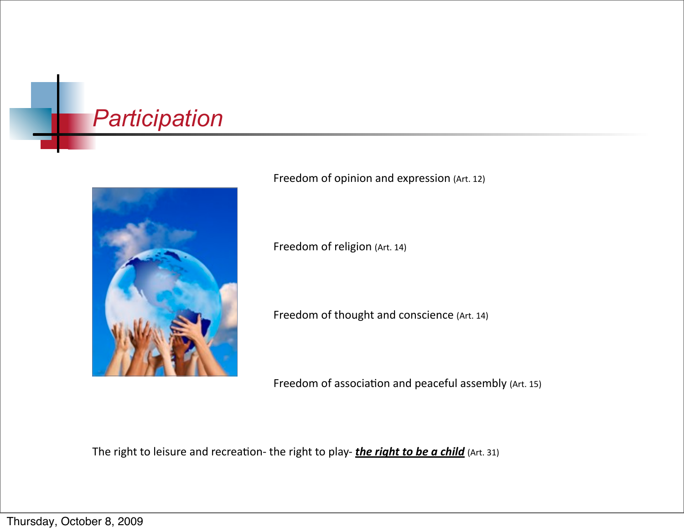

Freedom of opinion and expression (Art. 12)

Freedom of religion (Art. 14)

Freedom of thought and conscience (Art. 14)

Freedom of association and peaceful assembly (Art. 15)

The right to leisure and recreation- the right to play- *the right to be a child* (Art. 31)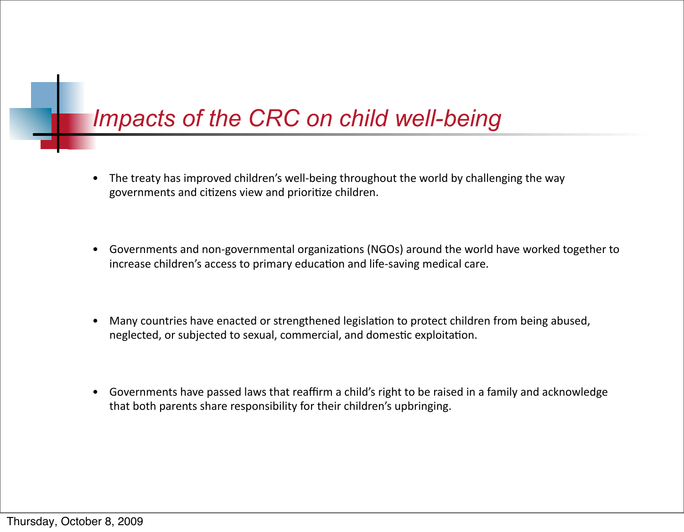# *Impacts of the CRC on child well-being*

- The treaty has improved children's well-being throughout the world by challenging the way governments and citizens view and prioritize children.
- Governments and non-governmental organizations (NGOs) around the world have worked together to increase children's access to primary education and life-saving medical care.
- Many countries have enacted or strengthened legislation to protect children from being abused, neglected, or subjected to sexual, commercial, and domestic exploitation.
- Governments have passed laws that reaffirm a child's right to be raised in a family and acknowledge that both parents share responsibility for their children's upbringing.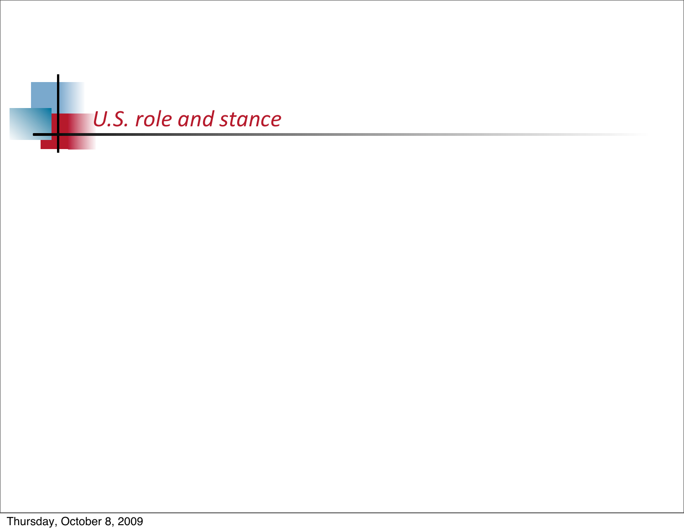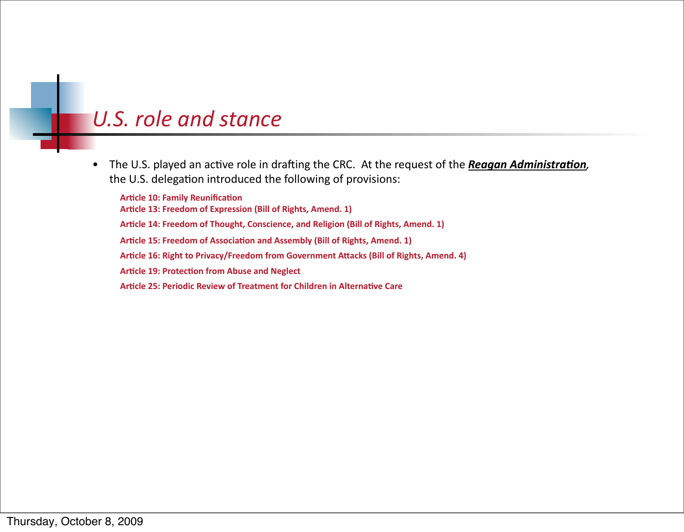The U.S. played an active role in drafting the CRC. At the request of the Reagan Administration,  $\bullet$ the U.S. delegation introduced the following of provisions:

**Article 10: Family Reunification** Article 13: Freedom of Expression (Bill of Rights, Amend. 1) Article 14: Freedom of Thought, Conscience, and Religion (Bill of Rights, Amend. 1) Article 15: Freedom of Association and Assembly (Bill of Rights, Amend. 1) Article 16: Right to Privacy/Freedom from Government Attacks (Bill of Rights, Amend. 4) **Article 19: Protection from Abuse and Neglect** Article 25: Periodic Review of Treatment for Children in Alternative Care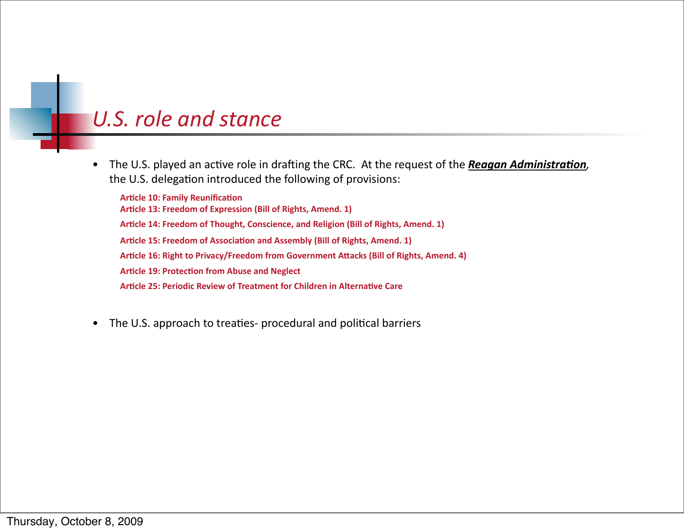The U.S. played an active role in drafting the CRC. At the request of the Reagan Administration,  $\bullet$ the U.S. delegation introduced the following of provisions:

**Article 10: Family Reunification** Article 13: Freedom of Expression (Bill of Rights, Amend. 1) Article 14: Freedom of Thought, Conscience, and Religion (Bill of Rights, Amend. 1) Article 15: Freedom of Association and Assembly (Bill of Rights, Amend. 1) Article 16: Right to Privacy/Freedom from Government Attacks (Bill of Rights, Amend. 4) **Article 19: Protection from Abuse and Neglect** Article 25: Periodic Review of Treatment for Children in Alternative Care

The U.S. approach to treaties- procedural and political barriers  $\bullet$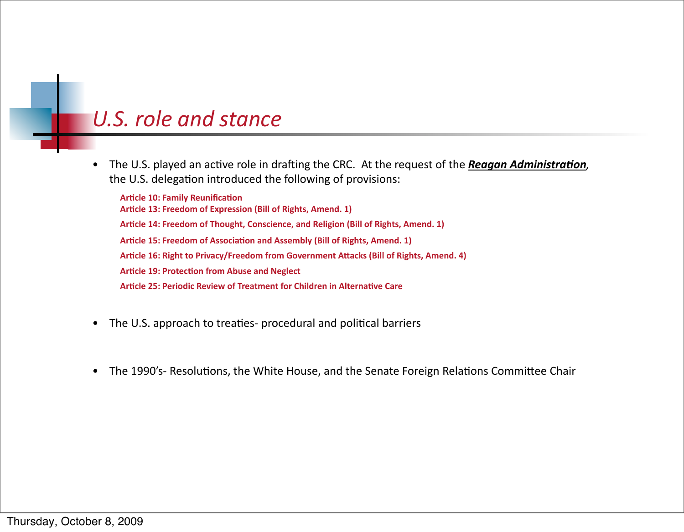The U.S. played an active role in drafting the CRC. At the request of the Reagan Administration,  $\bullet$ the U.S. delegation introduced the following of provisions:

**Article 10: Family Reunification** Article 13: Freedom of Expression (Bill of Rights, Amend. 1) Article 14: Freedom of Thought, Conscience, and Religion (Bill of Rights, Amend. 1) Article 15: Freedom of Association and Assembly (Bill of Rights, Amend. 1) Article 16: Right to Privacy/Freedom from Government Attacks (Bill of Rights, Amend, 4) **Article 19: Protection from Abuse and Neglect** Article 25: Periodic Review of Treatment for Children in Alternative Care

- The U.S. approach to treaties- procedural and political barriers  $\bullet$
- The 1990's- Resolutions, the White House, and the Senate Foreign Relations Committee Chair  $\bullet$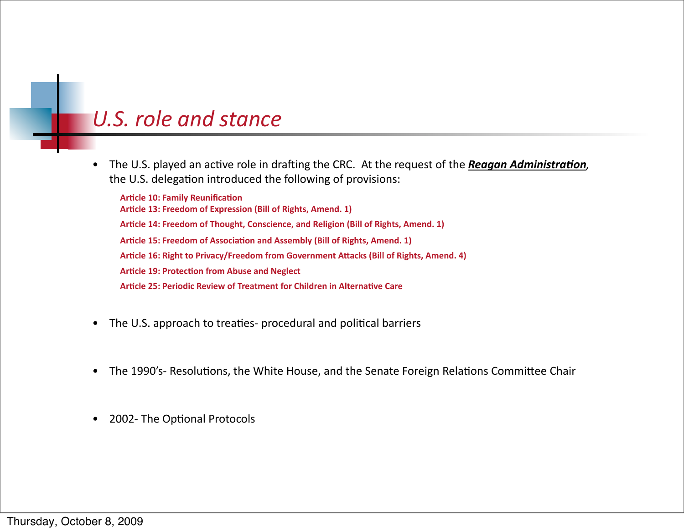The U.S. played an active role in drafting the CRC. At the request of the Reagan Administration,  $\bullet$ the U.S. delegation introduced the following of provisions:

**Article 10: Family Reunification** Article 13: Freedom of Expression (Bill of Rights, Amend. 1) Article 14: Freedom of Thought, Conscience, and Religion (Bill of Rights, Amend. 1) Article 15: Freedom of Association and Assembly (Bill of Rights, Amend. 1) Article 16: Right to Privacy/Freedom from Government Attacks (Bill of Rights, Amend, 4) **Article 19: Protection from Abuse and Neglect** Article 25: Periodic Review of Treatment for Children in Alternative Care

- The U.S. approach to treaties- procedural and political barriers  $\bullet$
- The 1990's- Resolutions, the White House, and the Senate Foreign Relations Committee Chair  $\bullet$
- 2002- The Optional Protocols  $\bullet$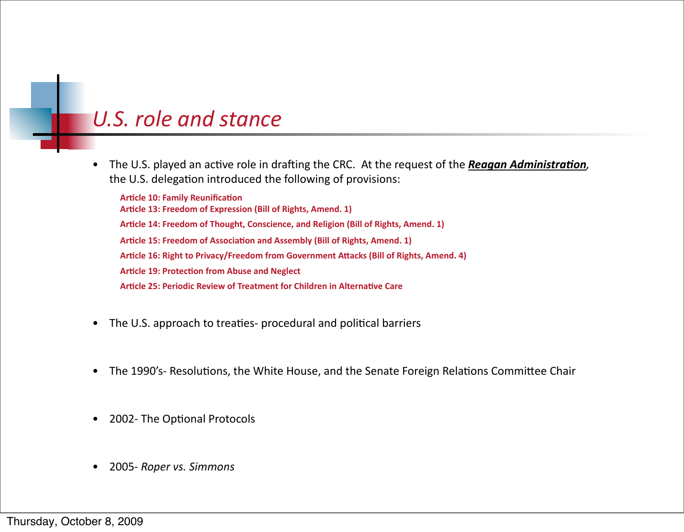The U.S. played an active role in drafting the CRC. At the request of the Reagan Administration,  $\bullet$ the U.S. delegation introduced the following of provisions:

**Article 10: Family Reunification** Article 13: Freedom of Expression (Bill of Rights, Amend. 1) Article 14: Freedom of Thought, Conscience, and Religion (Bill of Rights, Amend. 1) Article 15: Freedom of Association and Assembly (Bill of Rights, Amend. 1) Article 16: Right to Privacy/Freedom from Government Attacks (Bill of Rights, Amend, 4) **Article 19: Protection from Abuse and Neglect** Article 25: Periodic Review of Treatment for Children in Alternative Care

- The U.S. approach to treaties- procedural and political barriers
- The 1990's- Resolutions, the White House, and the Senate Foreign Relations Committee Chair  $\bullet$
- 2002- The Optional Protocols  $\bullet$
- 2005- Roper vs. Simmons  $\bullet$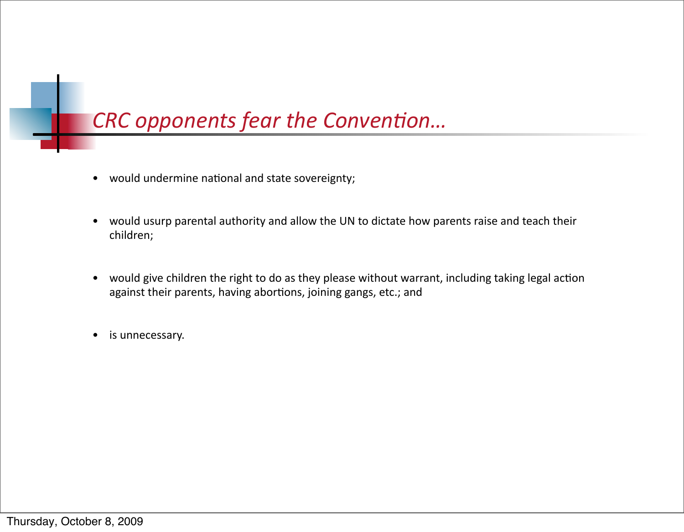## CRC opponents fear the Convention...

- would undermine national and state sovereignty;
- would usurp parental authority and allow the UN to dictate how parents raise and teach their  $\bullet$ children;
- would give children the right to do as they please without warrant, including taking legal action against their parents, having abortions, joining gangs, etc.; and
- is unnecessary.  $\bullet$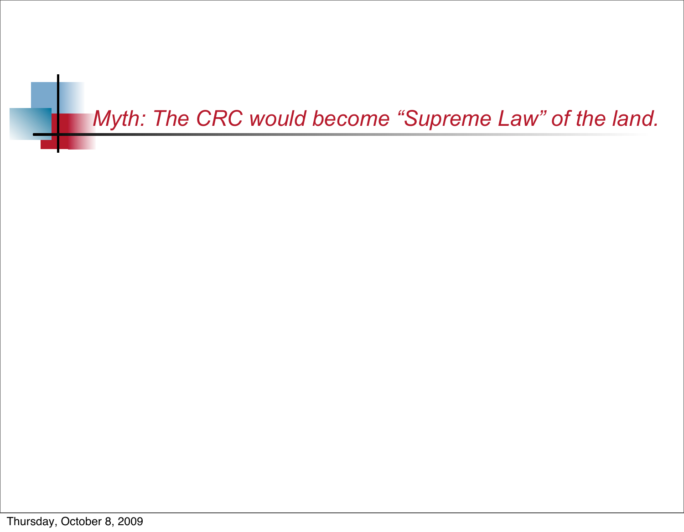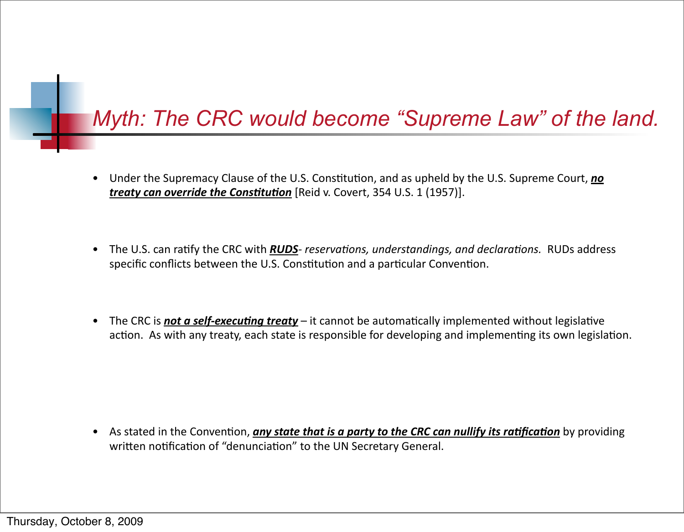## Myth: The CRC would become "Supreme Law" of the land.

- Under the Supremacy Clause of the U.S. Constitution, and as upheld by the U.S. Supreme Court, no treaty can override the Constitution [Reid v. Covert, 354 U.S. 1 (1957)].
- The U.S. can ratify the CRC with **RUDS** reservations, understandings, and declarations. RUDs address  $\bullet$ specific conflicts between the U.S. Constitution and a particular Convention.
- The CRC is **not a self-executing treaty** it cannot be automatically implemented without legislative  $\bullet$ action. As with any treaty, each state is responsible for developing and implementing its own legislation.

• As stated in the Convention, any state that is a party to the CRC can nullify its ratification by providing written notification of "denunciation" to the UN Secretary General.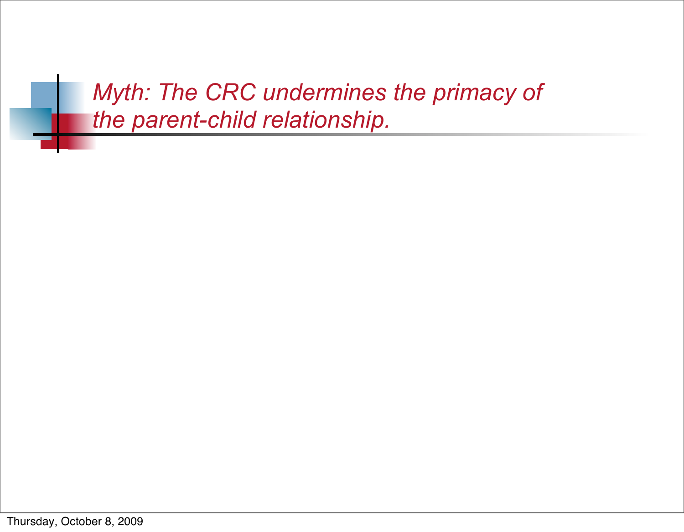*Myth: The CRC undermines the primacy of the parent-child relationship.*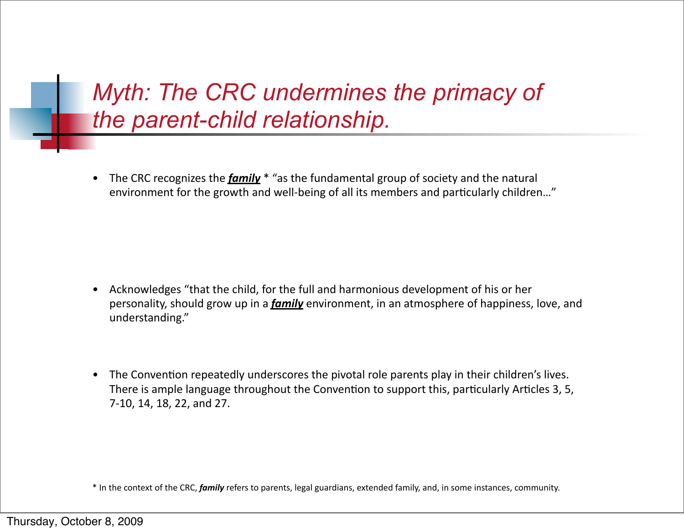# *Myth: The CRC undermines the primacy of the parent-child relationship.*

• The CRC recognizes the *family*  $*$  "as the fundamental group of society and the natural environment for the growth and well-being of all its members and particularly children..."

- Acknowledges "that the child, for the full and harmonious development of his or her personality, should grow up in a *family* environment, in an atmosphere of happiness, love, and understanding."
- The Convention repeatedly underscores the pivotal role parents play in their children's lives. There is ample language throughout the Convention to support this, particularly Articles 3, 5, 7-10, 14, 18, 22, and 27.

<sup>\*</sup> In the context of the CRC, *family* refers to parents, legal guardians, extended family, and, in some instances, community.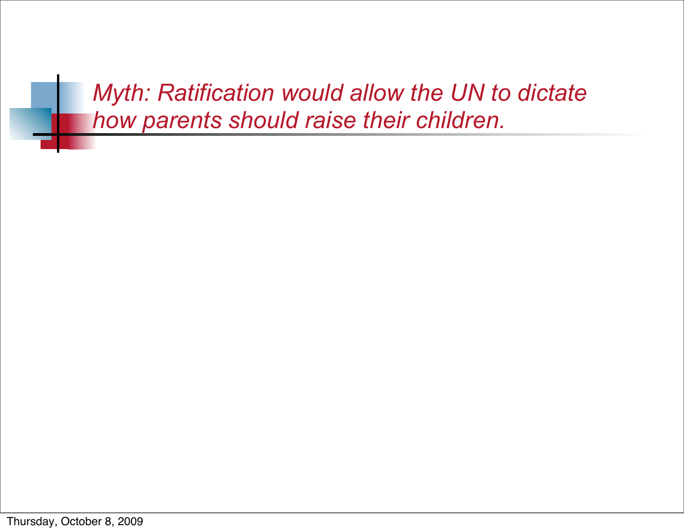*Myth: Ratification would allow the UN to dictate how parents should raise their children.*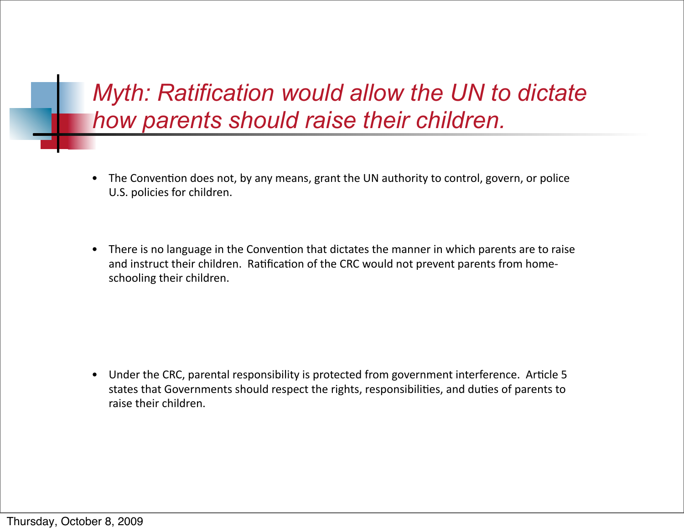*Myth: Ratification would allow the UN to dictate how parents should raise their children.*

- The Convention does not, by any means, grant the UN authority to control, govern, or police U.S. policies for children.
- There is no language in the Convention that dictates the manner in which parents are to raise and instruct their children. Ratification of the CRC would not prevent parents from homeschooling their children.

• Under the CRC, parental responsibility is protected from government interference. Article 5 states that Governments should respect the rights, responsibilities, and duties of parents to raise their children.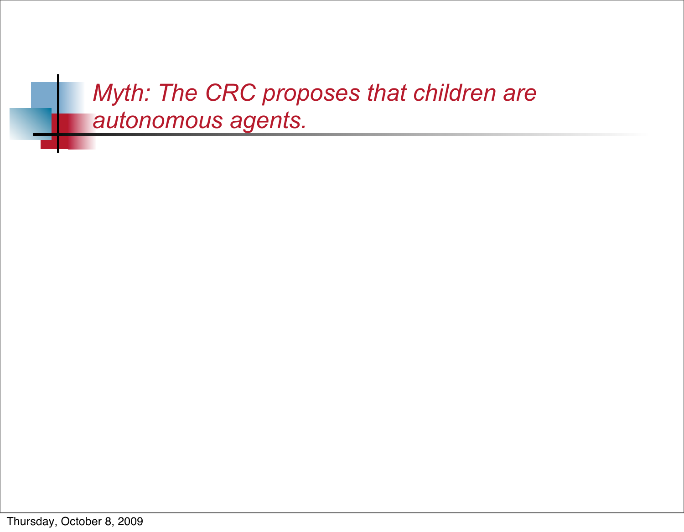*Myth: The CRC proposes that children are autonomous agents.*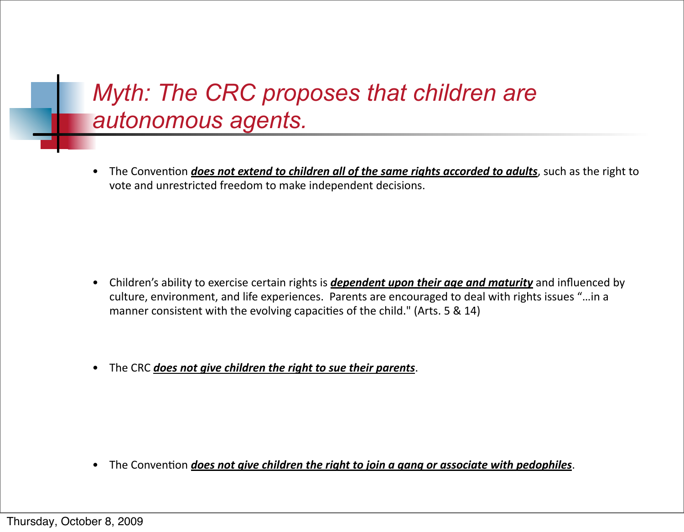# *Myth: The CRC proposes that children are autonomous agents.*

• The Convention *does not extend to children all of the same rights accorded to adults*, such as the right to vote and unrestricted freedom to make independent decisions.

- Children's ability to exercise certain rights is *dependent upon their age and maturity* and influenced by culture, environment, and life experiences. Parents are encouraged to deal with rights issues "... in a manner consistent with the evolving capacities of the child." (Arts.  $5 \& 14$ )
- The CRC *does not give children the right to sue their parents*.

• The Convention *does not aive children the right to join a gang or associate with pedophiles*.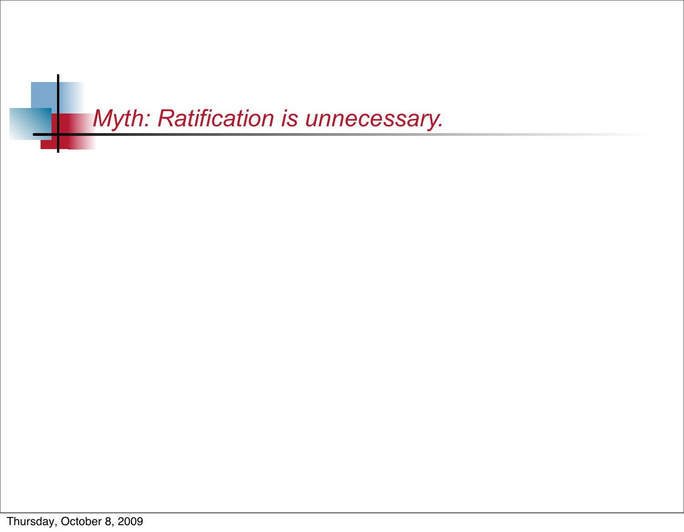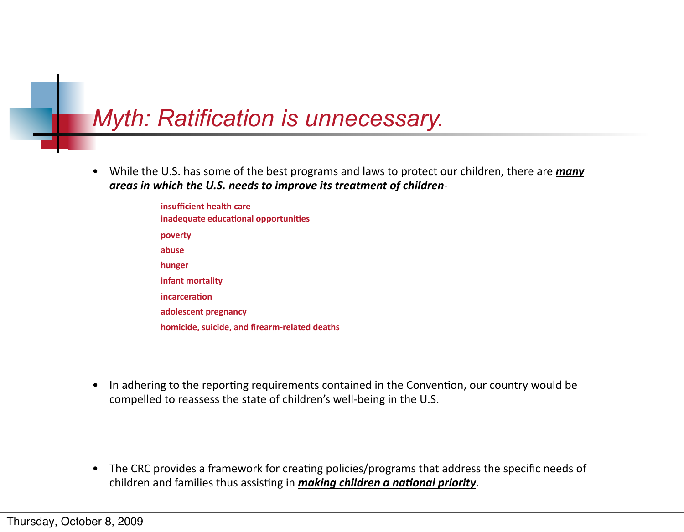## *Myth: Ratification is unnecessary.*

- While the U.S. has some of the best programs and laws to protect our children, there are *many* areas in which the U.S. needs to improve its treatment of children
	- $insufficient$  health care **! ! inadequate!educa5onal!opportuni5es ! ! poverty ! ! abuse ! ! hunger infant mortality ! ! incarcera5on ! ! adolescent!pregnancy homicide, suicide, and firearm-related deaths**
- In adhering to the reporting requirements contained in the Convention, our country would be compelled to reassess the state of children's well-being in the U.S.

• The CRC provides a framework for creating policies/programs that address the specific needs of children and families thus assisting in *making children a national priority*.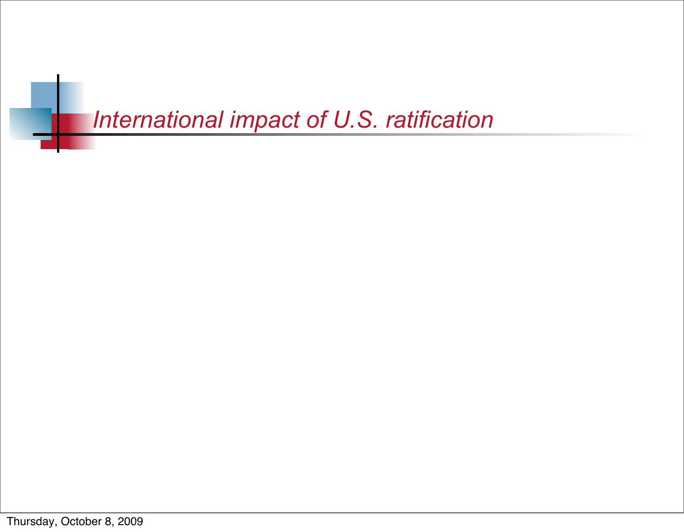# *International impact of U.S. ratification*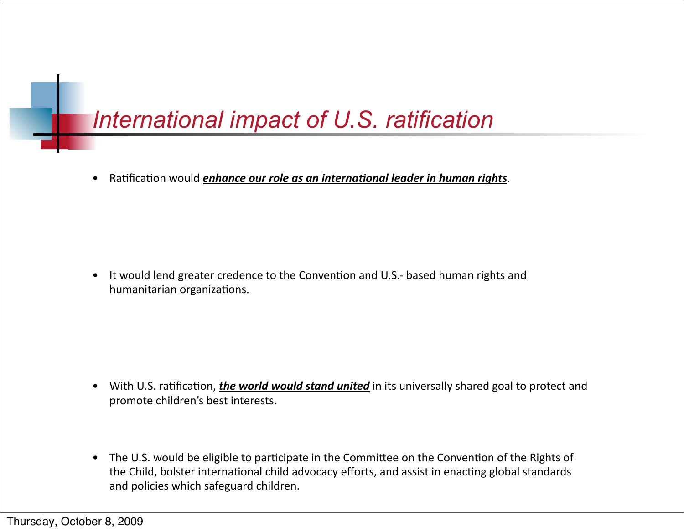# *International impact of U.S. ratification*

• Ratification would *enhance our role as an international leader in human rights*.

• It would lend greater credence to the Convention and U.S.- based human rights and humanitarian organizations.

- With U.S. ratification, *the world would stand united* in its universally shared goal to protect and promote children's best interests.
- The U.S. would be eligible to participate in the Committee on the Convention of the Rights of the Child, bolster international child advocacy efforts, and assist in enacting global standards and policies which safeguard children.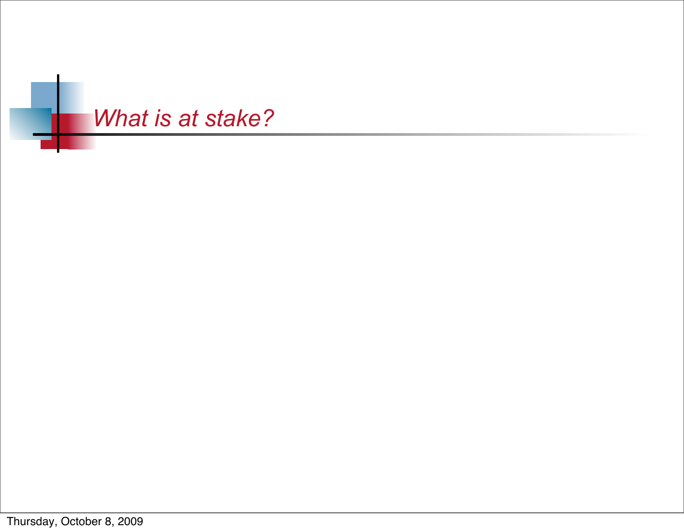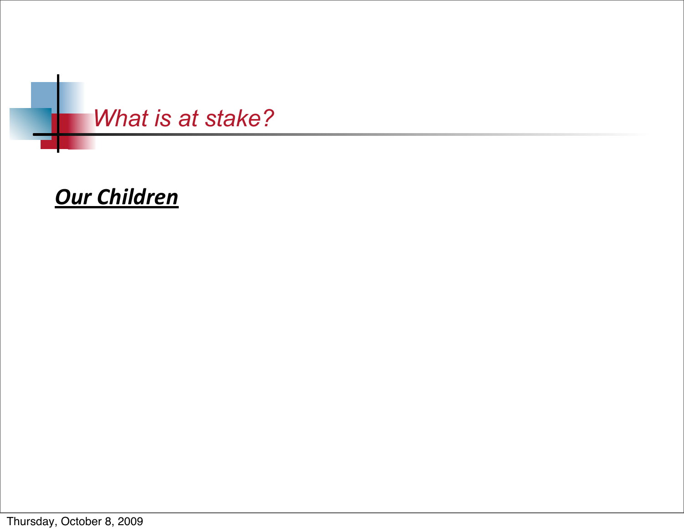

### **Our Children**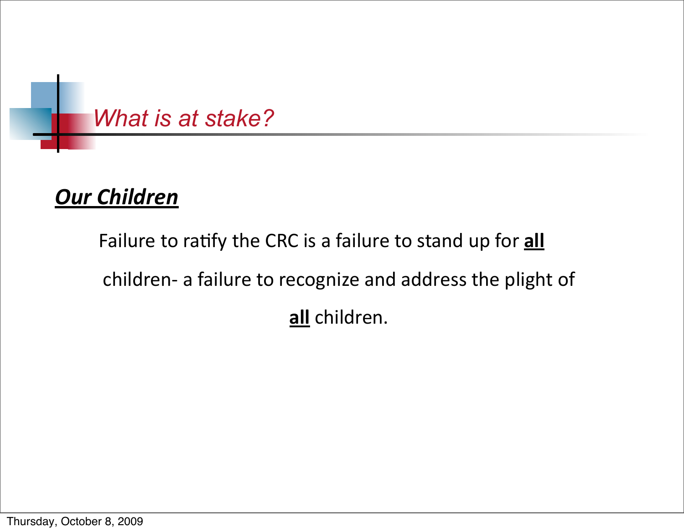

### **Our Children**

Failure to ratify the CRC is a failure to stand up for **all** children- a failure to recognize and address the plight of all children.